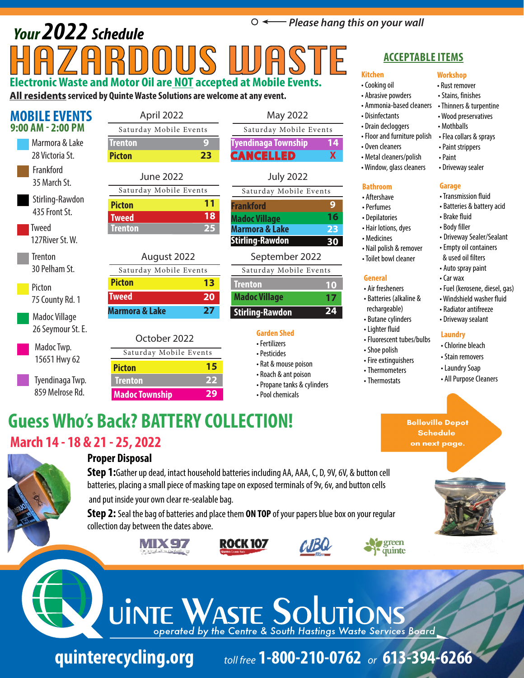## *Please hang this on your wall Your 2022 Schedule*  HAZARDOUS WASTE **Electronic Waste and Motor Oil are NOT accepted at Mobile Events.**

**All residents serviced by Quinte Waste Solutions are welcome at any event.**

| <b>MOBILE EVENTS</b>      | April 2022                |  |  |  |  |  |  |  |
|---------------------------|---------------------------|--|--|--|--|--|--|--|
| 9:00 AM - 2:00 PM         | Saturday Mobile Eve       |  |  |  |  |  |  |  |
| Marmora & Lake            | <b>Trenton</b>            |  |  |  |  |  |  |  |
| 28 Victoria St.           | <b>Picton</b>             |  |  |  |  |  |  |  |
| Frankford                 | <b>June 2022</b>          |  |  |  |  |  |  |  |
| 35 March St.              | Saturday Mobile Eve       |  |  |  |  |  |  |  |
| Stirling-Rawdon           | <b>Picton</b>             |  |  |  |  |  |  |  |
| 435 Front St.             | <b>Tweed</b>              |  |  |  |  |  |  |  |
| Tweed<br>127 River St. W. | Trenton                   |  |  |  |  |  |  |  |
| <b>Trenton</b>            | August 2022               |  |  |  |  |  |  |  |
| 30 Pelham St.             | Saturday Mobile Eve       |  |  |  |  |  |  |  |
| Picton                    | <b>Picton</b>             |  |  |  |  |  |  |  |
| 75 County Rd. 1           | <b>Tweed</b>              |  |  |  |  |  |  |  |
| Madoc Village             | <b>Marmora &amp; Lake</b> |  |  |  |  |  |  |  |
| 26 Seymour St. E.         | October 2022              |  |  |  |  |  |  |  |
| Madoc Twp.                | Saturday Mobile Ev        |  |  |  |  |  |  |  |
| 15651 Hwy 62              | <b>Picton</b>             |  |  |  |  |  |  |  |
| Tyendinaga Twp.           | <b>Trenton</b>            |  |  |  |  |  |  |  |
| 859 Melrose Rd.           | <b>Madoc Township</b>     |  |  |  |  |  |  |  |

**9 23**  $ents$ 

**11 18 25**

### August 2022 **13 20 27**

### **15 22**  $\sqrt{r}$ ents

| 23<br>:ton             | <b>CANCELLED</b>            |
|------------------------|-----------------------------|
| <b>June 2022</b>       | <b>July 2022</b>            |
| Saturday Mobile Events | Saturday Mobile Events      |
| 11<br>cton             | <b>Frankford</b>            |
| 18<br><b>reed</b>      | <b>Madoc Village</b>        |
| 25<br>enton            | <b>Marmora &amp; Lake</b>   |
|                        | <b>Stirling-Rawdon</b><br>E |
| August 2022            | September 2022              |
|                        |                             |

**Tyendinaga Township**

#### **10 17 24 Trenton Stirling-Rawdon Madoc Village** ents Saturday Mobile Events

May 2022

Saturday Mobile Events

**14 X**

- Fertilizers
- Pesticides
- Rat & mouse poison
- Roach & ant poison
- Propane tanks & cylinders

• Pool chemicals

### **ACCEPTABLE ITEMS**

**Workshop** • Rust remover • Stains, finishes • Thinners & turpentine • Wood preservatives • Mothballs • Flea collars & sprays • Paint strippers • Paint

• Driveway sealer

• Transmission fluid • Batteries & battery acid

**Garage**

• Brake fluid • Body filler

• Cooking oil

**Kitchen**

- Abrasive powders
- Ammonia-based cleaners
- Disinfectants
- Drain decloggers • Floor and furniture polish
- Oven cleaners
- Metal cleaners/polish
- Window, glass cleaners

### **Bathroom**

- Aftershave
- Perfumes
- Depilatories
- Hair lotions, dyes
- Medicines
- Nail polish & remover
- Toilet bowl cleaner

### **General**

- Air fresheners • Batteries (alkaline &
- rechargeable)
- Butane cylinders
- Lighter fluid
- Fluorescent tubes/bulbs
- 
- 
- Thermometers
- Thermostats

• Auto spray paint • Car wax

• Driveway Sealer/Sealant • Empty oil containers & used oil filters

- Fuel (kerosene, diesel, gas)
- Windshield washer fluid
- Radiator antifreeze
- Driveway sealant

### **Laundry**

- Chlorine bleach
- Stain removers
- Laundry Soap
- All Purpose Cleaners

## **Guess Who's Back? BATTERY COLLECTION! March 14 - 18 & 21 - 25, 2022**



### **Proper Disposal**

**Step 1:**Gather up dead, intact household batteries including AA, AAA, C, D, 9V, 6V, & button cell batteries, placing a small piece of masking tape on exposed terminals of 9v, 6v, and button cells and put inside your own clear re-sealable bag.

**Step 2:** Seal the bag of batteries and place them **ON TOP** of your papers blue box on your regular collection day between the dates above.





**29**







## UINTE WASTE SOLUTIC operated by the Centre & South Hastings Waste Services Board

**quinterecycling.org** *toll free* **1-800-210-0762** *or* **613-394-6266**

**Garden Shed**

- 
- 
- 
- 

### • Shoe polish

- Fire extinguishers
- 
- 
- 

**Belleville Depot Schedule** on next page.